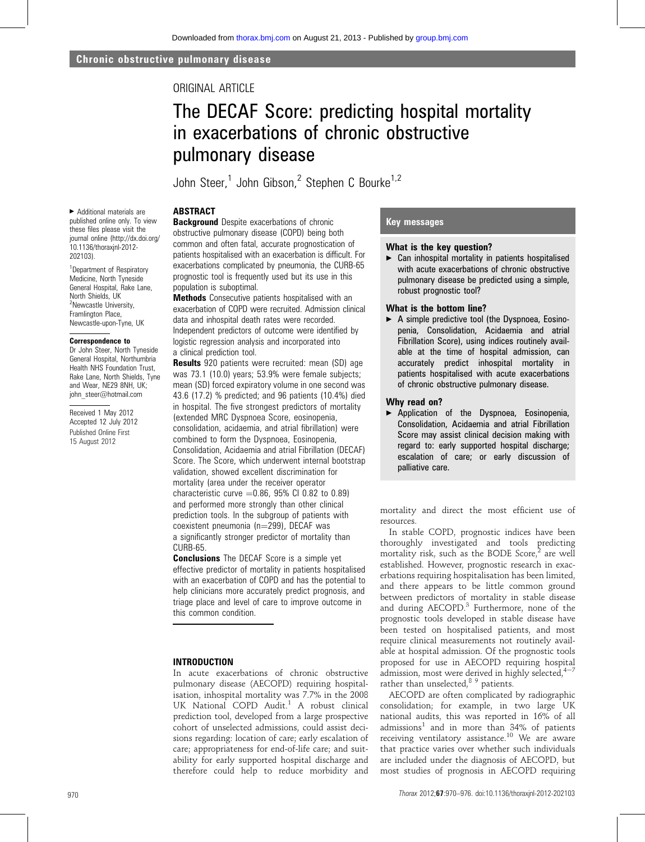# ORIGINAL ARTICLE

# The DECAF Score: predicting hospital mortality in exacerbations of chronic obstructive pulmonary disease

John Steer,<sup>1</sup> John Gibson,<sup>2</sup> Stephen C Bourke<sup>1,2</sup>

# **ABSTRACT**

< Additional materials are published online only. To view these files please visit the journal online (http://dx.doi.org/ 10.1136/thoraxjnl-2012- 202103).

1 Department of Respiratory Medicine, North Tyneside General Hospital, Rake Lane, North Shields, UK <sup>2</sup>Newcastle University, Framlington Place, Newcastle-upon-Tyne, UK

#### Correspondence to

Dr John Steer, North Tyneside General Hospital, Northumbria Health NHS Foundation Trust, Rake Lane, North Shields, Tyne and Wear, NE29 8NH, UK; john\_steer@hotmail.com

Received 1 May 2012 Accepted 12 July 2012 Published Online First 15 August 2012

**Background** Despite exacerbations of chronic obstructive pulmonary disease (COPD) being both common and often fatal, accurate prognostication of patients hospitalised with an exacerbation is difficult. For exacerbations complicated by pneumonia, the CURB-65 prognostic tool is frequently used but its use in this population is suboptimal.

**Methods** Consecutive patients hospitalised with an exacerbation of COPD were recruited. Admission clinical data and inhospital death rates were recorded. Independent predictors of outcome were identified by logistic regression analysis and incorporated into a clinical prediction tool.

**Results** 920 patients were recruited: mean (SD) age was 73.1 (10.0) years; 53.9% were female subjects; mean (SD) forced expiratory volume in one second was 43.6 (17.2) % predicted; and 96 patients (10.4%) died in hospital. The five strongest predictors of mortality (extended MRC Dyspnoea Score, eosinopenia, consolidation, acidaemia, and atrial fibrillation) were combined to form the Dyspnoea, Eosinopenia, Consolidation, Acidaemia and atrial Fibrillation (DECAF) Score. The Score, which underwent internal bootstrap validation, showed excellent discrimination for mortality (area under the receiver operator characteristic curve  $=0.86$ , 95% CI 0.82 to 0.89) and performed more strongly than other clinical prediction tools. In the subgroup of patients with coexistent pneumonia (n=299), DECAF was a significantly stronger predictor of mortality than CURB-65.

**Conclusions** The DECAF Score is a simple yet effective predictor of mortality in patients hospitalised with an exacerbation of COPD and has the potential to help clinicians more accurately predict prognosis, and triage place and level of care to improve outcome in this common condition.

# INTRODUCTION

In acute exacerbations of chronic obstructive pulmonary disease (AECOPD) requiring hospitalisation, inhospital mortality was 7.7% in the 2008 UK National COPD Audit.<sup>1</sup> A robust clinical prediction tool, developed from a large prospective cohort of unselected admissions, could assist decisions regarding: location of care; early escalation of care; appropriateness for end-of-life care; and suitability for early supported hospital discharge and therefore could help to reduce morbidity and

## Key messages

### What is the key question?

 $\triangleright$  Can inhospital mortality in patients hospitalised with acute exacerbations of chronic obstructive pulmonary disease be predicted using a simple, robust prognostic tool?

### What is the bottom line?

 $\blacktriangleright$  A simple predictive tool (the Dyspnoea, Eosinopenia, Consolidation, Acidaemia and atrial Fibrillation Score), using indices routinely available at the time of hospital admission, can accurately predict inhospital mortality in patients hospitalised with acute exacerbations of chronic obstructive pulmonary disease.

#### Why read on?

▶ Application of the Dyspnoea, Eosinopenia, Consolidation, Acidaemia and atrial Fibrillation Score may assist clinical decision making with regard to: early supported hospital discharge; escalation of care; or early discussion of palliative care.

mortality and direct the most efficient use of resources.

In stable COPD, prognostic indices have been thoroughly investigated and tools predicting mortality risk, such as the BODE Score, $2$  are well established. However, prognostic research in exacerbations requiring hospitalisation has been limited, and there appears to be little common ground between predictors of mortality in stable disease and during AECOPD.<sup>3</sup> Furthermore, none of the prognostic tools developed in stable disease have been tested on hospitalised patients, and most require clinical measurements not routinely available at hospital admission. Of the prognostic tools proposed for use in AECOPD requiring hospital admission, most were derived in highly selected, $4-7$ rather than unselected,<sup>89</sup> patients.

AECOPD are often complicated by radiographic consolidation; for example, in two large UK national audits, this was reported in 16% of all admissions<sup>1</sup> and in more than 34% of patients receiving ventilatory assistance.<sup>10</sup> We are aware that practice varies over whether such individuals are included under the diagnosis of AECOPD, but most studies of prognosis in AECOPD requiring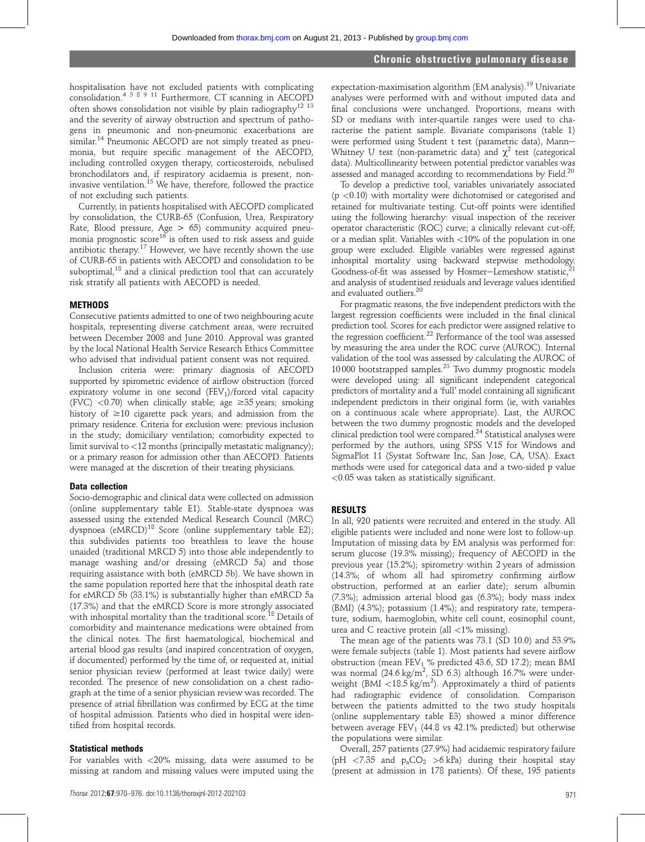hospitalisation have not excluded patients with complicating consolidation.<sup>4 5 8 9 11</sup> Furthermore, CT scanning in AECOPD often shows consolidation not visible by plain radiography<sup>12 13</sup> and the severity of airway obstruction and spectrum of pathogens in pneumonic and non-pneumonic exacerbations are similar.<sup>14</sup> Pneumonic AECOPD are not simply treated as pneumonia, but require specific management of the AECOPD, including controlled oxygen therapy, corticosteroids, nebulised bronchodilators and, if respiratory acidaemia is present, noninvasive ventilation.<sup>15</sup> We have, therefore, followed the practice of not excluding such patients.

Currently, in patients hospitalised with AECOPD complicated by consolidation, the CURB-65 (Confusion, Urea, Respiratory Rate, Blood pressure, Age > 65) community acquired pneumonia prognostic score<sup>16</sup> is often used to risk assess and guide antibiotic therapy.<sup>17</sup> However, we have recently shown the use of CURB-65 in patients with AECOPD and consolidation to be suboptimal,<sup>18</sup> and a clinical prediction tool that can accurately risk stratify all patients with AECOPD is needed.

#### **METHODS**

Consecutive patients admitted to one of two neighbouring acute hospitals, representing diverse catchment areas, were recruited between December 2008 and June 2010. Approval was granted by the local National Health Service Research Ethics Committee who advised that individual patient consent was not required.

Inclusion criteria were: primary diagnosis of AECOPD supported by spirometric evidence of airflow obstruction (forced expiratory volume in one second  $(FEV_1)/$  forced vital capacity (FVC)  $\langle$  -0.70) when clinically stable; age  $\geq$ 35 years; smoking history of  $\geq$ 10 cigarette pack years; and admission from the primary residence. Criteria for exclusion were: previous inclusion in the study; domiciliary ventilation; comorbidity expected to limit survival to <12 months (principally metastatic malignancy); or a primary reason for admission other than AECOPD. Patients were managed at the discretion of their treating physicians.

#### Data collection

Socio-demographic and clinical data were collected on admission (online supplementary table E1). Stable-state dyspnoea was assessed using the extended Medical Research Council (MRC) dyspnoea (eMRCD)<sup>18</sup> Score (online supplementary table E2); this subdivides patients too breathless to leave the house unaided (traditional MRCD 5) into those able independently to manage washing and/or dressing (eMRCD 5a) and those requiring assistance with both (eMRCD 5b). We have shown in the same population reported here that the inhospital death rate for eMRCD 5b (33.1%) is substantially higher than eMRCD 5a (17.3%) and that the eMRCD Score is more strongly associated with inhospital mortality than the traditional score.<sup>18</sup> Details of comorbidity and maintenance medications were obtained from the clinical notes. The first haematological, biochemical and arterial blood gas results (and inspired concentration of oxygen, if documented) performed by the time of, or requested at, initial senior physician review (performed at least twice daily) were recorded. The presence of new consolidation on a chest radiograph at the time of a senior physician review was recorded. The presence of atrial fibrillation was confirmed by ECG at the time of hospital admission. Patients who died in hospital were identified from hospital records.

#### Statistical methods

For variables with <20% missing, data were assumed to be missing at random and missing values were imputed using the

expectation-maximisation algorithm (EM analysis).<sup>19</sup> Univariate analyses were performed with and without imputed data and final conclusions were unchanged. Proportions, means with SD or medians with inter-quartile ranges were used to characterise the patient sample. Bivariate comparisons (table 1) were performed using Student t test (parametric data), Mann-Whitney U test (non-parametric data) and  $\gamma^2$  test (categorical data). Multicollinearity between potential predictor variables was assessed and managed according to recommendations by Field.<sup>20</sup>

To develop a predictive tool, variables univariately associated  $(p < 0.10)$  with mortality were dichotomised or categorised and retained for multivariate testing. Cut-off points were identified using the following hierarchy: visual inspection of the receiver operator characteristic (ROC) curve; a clinically relevant cut-off; or a median split. Variables with <10% of the population in one group were excluded. Eligible variables were regressed against inhospital mortality using backward stepwise methodology. Goodness-of-fit was assessed by Hosmer-Lemeshow statistic,<sup>2</sup> and analysis of studentised residuals and leverage values identified and evaluated outliers.<sup>20</sup>

For pragmatic reasons, the five independent predictors with the largest regression coefficients were included in the final clinical prediction tool. Scores for each predictor were assigned relative to the regression coefficient.22 Performance of the tool was assessed by measuring the area under the ROC curve (AUROC). Internal validation of the tool was assessed by calculating the AUROC of 10 000 bootstrapped samples.23 Two dummy prognostic models were developed using: all significant independent categorical predictors of mortality and a 'full' model containing all significant independent predictors in their original form (ie, with variables on a continuous scale where appropriate). Last, the AUROC between the two dummy prognostic models and the developed clinical prediction tool were compared.<sup>24</sup> Statistical analyses were performed by the authors, using SPSS V.15 for Windows and SigmaPlot 11 (Systat Software Inc, San Jose, CA, USA). Exact methods were used for categorical data and a two-sided p value <0.05 was taken as statistically significant.

#### RESULTS

In all, 920 patients were recruited and entered in the study. All eligible patients were included and none were lost to follow-up. Imputation of missing data by EM analysis was performed for: serum glucose (19.3% missing); frequency of AECOPD in the previous year (15.2%); spirometry within 2 years of admission (14.3%; of whom all had spirometry confirming airflow obstruction, performed at an earlier date); serum albumin (7.3%); admission arterial blood gas (6.3%); body mass index (BMI) (4.3%); potassium (1.4%); and respiratory rate, temperature, sodium, haemoglobin, white cell count, eosinophil count, urea and C reactive protein (all <1% missing).

The mean age of the patients was 73.1 (SD 10.0) and 53.9% were female subjects (table 1). Most patients had severe airflow obstruction (mean FEV<sub>1</sub> % predicted 43.6, SD 17.2); mean BMI was normal  $(24.6 \text{ kg/m}^2, \text{SD } 6.3)$  although 16.7% were underweight (BMI <18.5 kg/m<sup>2</sup>). Approximately a third of patients had radiographic evidence of consolidation. Comparison between the patients admitted to the two study hospitals (online supplementary table E3) showed a minor difference between average  $FEV<sub>1</sub>$  (44.8 vs 42.1% predicted) but otherwise the populations were similar.

Overall, 257 patients (27.9%) had acidaemic respiratory failure (pH <7.35 and  $p_aCO_2 > 6$  kPa) during their hospital stay (present at admission in 178 patients). Of these, 195 patients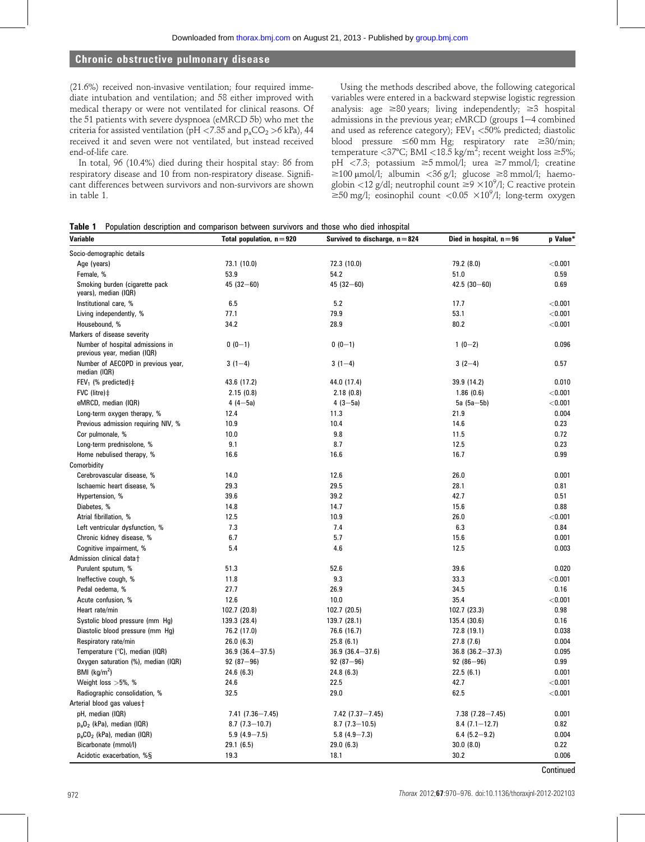(21.6%) received non-invasive ventilation; four required immediate intubation and ventilation; and 58 either improved with medical therapy or were not ventilated for clinical reasons. Of the 51 patients with severe dyspnoea (eMRCD 5b) who met the criteria for assisted ventilation (pH <7.35 and  $p_aCO_2 > 6$  kPa), 44 received it and seven were not ventilated, but instead received end-of-life care.

In total, 96 (10.4%) died during their hospital stay: 86 from respiratory disease and 10 from non-respiratory disease. Significant differences between survivors and non-survivors are shown in table 1.

Using the methods described above, the following categorical variables were entered in a backward stepwise logistic regression analysis: age  $\geq 80$  years; living independently;  $\geq 3$  hospital admissions in the previous year; eMRCD (groups  $1-4$  combined and used as reference category);  $FEV<sub>1</sub> < 50%$  predicted; diastolic blood pressure  $\leq 60$  mm Hg; respiratory rate  $\geq 30/min$ ; temperature <37°C; BMI <18.5 kg/m<sup>2</sup>; recent weight loss  $\geq$ 5%; pH <7.3; potassium  $\geq$ 5 mmol/l; urea  $\geq$ 7 mmol/l; creatine  $\geq$ 100 µmol/l; albumin <36 g/l; glucose  $\geq$ 8 mmol/l; haemoglobin <12 g/dl; neutrophil count  $\geq$ 9  $\times$ 10<sup>9</sup>/l; C reactive protein  $\geq$ 50 mg/l; eosinophil count <0.05  $\times$ 10<sup>9</sup>/l; long-term oxygen

Table 1 Population description and comparison between survivors and those who died inhospital

| Variable                                                        | Total population, $n = 920$ | Survived to discharge, $n = 824$ | Died in hospital, $n = 96$ | p Value*  |
|-----------------------------------------------------------------|-----------------------------|----------------------------------|----------------------------|-----------|
| Socio-demographic details                                       |                             |                                  |                            |           |
| Age (years)                                                     | 73.1 (10.0)                 | 72.3 (10.0)                      | 79.2 (8.0)                 | < 0.001   |
| Female, %                                                       | 53.9                        | 54.2                             | 51.0                       | 0.59      |
| Smoking burden (cigarette pack<br>years), median (IQR)          | $45(32 - 60)$               | $45(32 - 60)$                    | $42.5(30-60)$              | 0.69      |
| Institutional care, %                                           | 6.5                         | 5.2                              | 17.7                       | < 0.001   |
| Living independently, %                                         | 77.1                        | 79.9                             | 53.1                       | < 0.001   |
| Housebound, %                                                   | 34.2                        | 28.9                             | 80.2                       | < 0.001   |
| Markers of disease severity                                     |                             |                                  |                            |           |
| Number of hospital admissions in<br>previous year, median (IQR) | $0(0-1)$                    | $0(0-1)$                         | $1(0-2)$                   | 0.096     |
| Number of AECOPD in previous year,<br>median (IQR)              | $3(1-4)$                    | $3(1-4)$                         | $3(2-4)$                   | 0.57      |
| FEV <sub>1</sub> (% predicted) $\ddagger$                       | 43.6 (17.2)                 | 44.0 (17.4)                      | 39.9 (14.2)                | 0.010     |
| $FVC$ (litre) $\ddagger$                                        | 2.15(0.8)                   | 2.18(0.8)                        | 1.86(0.6)                  | < 0.001   |
| eMRCD, median (IQR)                                             | 4 $(4-5a)$                  | 4 $(3-5a)$                       | 5a $(5a - 5b)$             | < 0.001   |
| Long-term oxygen therapy, %                                     | 12.4                        | 11.3                             | 21.9                       | 0.004     |
| Previous admission requiring NIV, %                             | 10.9                        | 10.4                             | 14.6                       | 0.23      |
| Cor pulmonale, %                                                | 10.0                        | 9.8                              | 11.5                       | 0.72      |
| Long-term prednisolone, %                                       | 9.1                         | 8.7                              | 12.5                       | 0.23      |
| Home nebulised therapy, %                                       | 16.6                        | 16.6                             | 16.7                       | 0.99      |
| Comorbidity                                                     |                             |                                  |                            |           |
| Cerebrovascular disease, %                                      | 14.0                        | 12.6                             | 26.0                       | 0.001     |
| Ischaemic heart disease, %                                      | 29.3                        | 29.5                             | 28.1                       | 0.81      |
| Hypertension, %                                                 | 39.6                        | 39.2                             | 42.7                       | 0.51      |
| Diabetes, %                                                     | 14.8                        | 14.7                             | 15.6                       | 0.88      |
| Atrial fibrillation, %                                          | 12.5                        | 10.9                             | 26.0                       | < 0.001   |
| Left ventricular dysfunction, %                                 | 7.3                         | 7.4                              | 6.3                        | 0.84      |
| Chronic kidney disease, %                                       | 6.7                         | 5.7                              | 15.6                       | 0.001     |
| Cognitive impairment, %                                         | 5.4                         | 4.6                              | 12.5                       | 0.003     |
| Admission clinical data+                                        |                             |                                  |                            |           |
| Purulent sputum, %                                              | 51.3                        | 52.6                             | 39.6                       | 0.020     |
| Ineffective cough, %                                            | 11.8                        | 9.3                              | 33.3                       | < 0.001   |
| Pedal oedema, %                                                 | 27.7                        | 26.9                             | 34.5                       | 0.16      |
| Acute confusion, %                                              | 12.6                        | 10.0                             | 35.4                       | < 0.001   |
| Heart rate/min                                                  | 102.7 (20.8)                | 102.7 (20.5)                     | 102.7 (23.3)               | 0.98      |
| Systolic blood pressure (mm Hg)                                 | 139.3 (28.4)                | 139.7 (28.1)                     | 135.4 (30.6)               | 0.16      |
| Diastolic blood pressure (mm Hg)                                | 76.2 (17.0)                 | 76.6 (16.7)                      | 72.8 (19.1)                | 0.038     |
| Respiratory rate/min                                            | 26.0(6.3)                   | 25.8(6.1)                        | 27.8(7.6)                  | 0.004     |
| Temperature (°C), median (IQR)                                  | $36.9(36.4 - 37.5)$         | $36.9(36.4 - 37.6)$              | $36.8$ (36.2-37.3)         | 0.095     |
| Oxygen saturation (%), median (IQR)                             | $92(87-96)$                 | $92(87 - 96)$                    | $92(86 - 96)$              | 0.99      |
| BMI ( $kg/m2$ )                                                 | 24.6(6.3)                   | 24.8 (6.3)                       | 22.5(6.1)                  | 0.001     |
| Weight loss > 5%, %                                             | 24.6                        | 22.5                             | 42.7                       | $<$ 0.001 |
| Radiographic consolidation, %                                   | 32.5                        | 29.0                             | 62.5                       | < 0.001   |
| Arterial blood gas values +                                     |                             |                                  |                            |           |
| pH, median (IQR)                                                | $7.41(7.36 - 7.45)$         | $7.42$ (7.37-7.45)               | $7.38$ (7.28-7.45)         | 0.001     |
| $p_aO_2$ (kPa), median (IQR)                                    | $8.7(7.3-10.7)$             | $8.7(7.3-10.5)$                  | $8.4(7.1-12.7)$            | 0.82      |
| $p_aCO_2$ (kPa), median (IQR)                                   | $5.9(4.9 - 7.5)$            | 5.8 $(4.9 - 7.3)$                | $6.4(5.2-9.2)$             | 0.004     |
| Bicarbonate (mmol/l)                                            | 29.1(6.5)                   | 29.0(6.3)                        | 30.0(8.0)                  | 0.22      |
| Acidotic exacerbation, %§                                       | 19.3                        | 18.1                             | 30.2                       | 0.006     |

Continued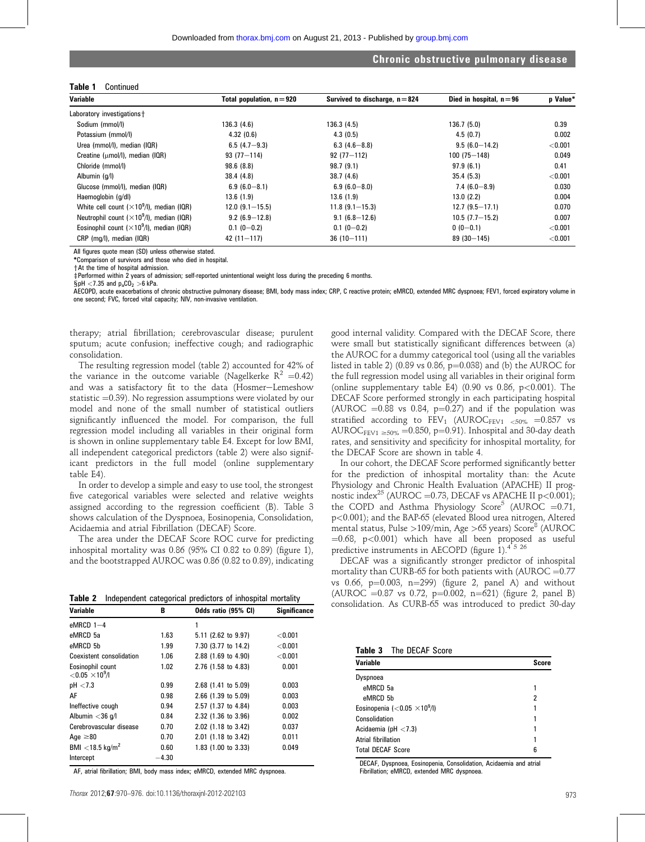#### Table 1 Continued

| Variable                                          | Total population, $n = 920$ | Survived to discharge, $n = 824$ | Died in hospital, $n = 96$ | p Value* |
|---------------------------------------------------|-----------------------------|----------------------------------|----------------------------|----------|
| Laboratory investigations+                        |                             |                                  |                            |          |
| Sodium (mmol/l)                                   | 136.3 (4.6)                 | 136.3 (4.5)                      | 136.7(5.0)                 | 0.39     |
| Potassium (mmol/l)                                | 4.32(0.6)                   | 4.3(0.5)                         | 4.5(0.7)                   | 0.002    |
| Urea (mmol/l), median (IQR)                       | $6.5(4.7-9.3)$              | $6.3(4.6 - 8.8)$                 | $9.5(6.0-14.2)$            | < 0.001  |
| Creatine (umol/l), median (IQR)                   | $93(77 - 114)$              | $92(77 - 112)$                   | $100(75 - 148)$            | 0.049    |
| Chloride (mmol/l)                                 | 98.6(8.8)                   | 98.7(9.1)                        | 97.9(6.1)                  | 0.41     |
| Albumin $(q/l)$                                   | 38.4 (4.8)                  | 38.7(4.6)                        | 35.4(5.3)                  | < 0.001  |
| Glucose (mmol/l), median (IQR)                    | $6.9(6.0-8.1)$              | $6.9(6.0-8.0)$                   | $7.4(6.0-8.9)$             | 0.030    |
| Haemoglobin (g/dl)                                | 13.6(1.9)                   | 13.6(1.9)                        | 13.0(2.2)                  | 0.004    |
| White cell count $(\times 10^9)$ , median (IQR)   | $12.0(9.1 - 15.5)$          | $11.8(9.1 - 15.3)$               | $12.7(9.5-17.1)$           | 0.070    |
| Neutrophil count $(\times 10^9/1)$ , median (IQR) | $9.2(6.9-12.8)$             | $9.1(6.8-12.6)$                  | $10.5(7.7-15.2)$           | 0.007    |
| Eosinophil count $(\times 10^9/l)$ , median (IQR) | $0.1(0-0.2)$                | $0.1(0-0.2)$                     | $0(0-0.1)$                 | < 0.001  |
| CRP (mg/l), median (IQR)                          | $42(11 - 117)$              | $36(10-111)$                     | $89(30 - 145)$             | < 0.001  |

All figures quote mean (SD) unless otherwise stated.

\*Comparison of survivors and those who died in hospital.

+At the time of hospital admission.

‡Performed within 2 years of admission; self-reported unintentional weight loss during the preceding 6 months.  $$pH < 7.35$  and  $p.CO<sub>2</sub> > 6$  kPa.

AECOPD, acute exacerbations of chronic obstructive pulmonary disease; BMI, body mass index; CRP, C reactive protein; eMRCD, extended MRC dyspnoea; FEV1, forced expiratory volume in one second; FVC, forced vital capacity; NIV, non-invasive ventilation.

therapy; atrial fibrillation; cerebrovascular disease; purulent sputum; acute confusion; ineffective cough; and radiographic consolidation.

The resulting regression model (table 2) accounted for 42% of the variance in the outcome variable (Nagelkerke  $R^2 = 0.42$ ) and was a satisfactory fit to the data (Hosmer-Lemeshow statistic  $=$  0.39). No regression assumptions were violated by our model and none of the small number of statistical outliers significantly influenced the model. For comparison, the full regression model including all variables in their original form is shown in online supplementary table E4. Except for low BMI, all independent categorical predictors (table 2) were also significant predictors in the full model (online supplementary table E4).

In order to develop a simple and easy to use tool, the strongest five categorical variables were selected and relative weights assigned according to the regression coefficient (B). Table 3 shows calculation of the Dyspnoea, Eosinopenia, Consolidation, Acidaemia and atrial Fibrillation (DECAF) Score.

The area under the DECAF Score ROC curve for predicting inhospital mortality was 0.86 (95% CI 0.82 to 0.89) (figure 1), and the bootstrapped AUROC was 0.86 (0.82 to 0.89), indicating

Table 2 Independent categorical predictors of inhospital mortality

| Variable                                                 | B       | $\mathbf{r}$ and $\mathbf{r}$ are mapped from the categories of production of interesting intertainty<br>Odds ratio (95% CI)<br><b>Significance</b> |         |
|----------------------------------------------------------|---------|-----------------------------------------------------------------------------------------------------------------------------------------------------|---------|
| $eMRCD$ 1-4                                              |         |                                                                                                                                                     |         |
| eMRCD 5a                                                 | 1.63    | 5.11 (2.62 to 9.97)                                                                                                                                 | < 0.001 |
| eMRCD 5b                                                 | 1.99    | 7.30 (3.77 to 14.2)                                                                                                                                 | < 0.001 |
| Coexistent consolidation                                 | 1.06    | 2.88 (1.69 to 4.90)                                                                                                                                 | < 0.001 |
| Eosinophil count<br>$<$ 0.05 $\times$ 10 <sup>9</sup> /l | 1.02    | 2.76 (1.58 to 4.83)                                                                                                                                 | 0.001   |
| pH < 7.3                                                 | 0.99    | $2.68$ (1.41 to 5.09)                                                                                                                               | 0.003   |
| AF                                                       | 0.98    | 2.66 (1.39 to 5.09)                                                                                                                                 | 0.003   |
| Ineffective cough                                        | 0.94    | 2.57 (1.37 to 4.84)                                                                                                                                 | 0.003   |
| Albumin $<$ 36 q/l                                       | 0.84    | 2.32 (1.36 to 3.96)                                                                                                                                 | 0.002   |
| Cerebrovascular disease                                  | 0.70    | 2.02 (1.18 to 3.42)                                                                                                                                 | 0.037   |
| Age $\geq 80$                                            | 0.70    | 2.01 (1.18 to 3.42)                                                                                                                                 | 0.011   |
| $BMI < 18.5$ kg/m <sup>2</sup>                           | 0.60    | 1.83 (1.00 to 3.33)                                                                                                                                 | 0.049   |
| Intercept                                                | $-4.30$ |                                                                                                                                                     |         |

AF, atrial fibrillation; BMI, body mass index; eMRCD, extended MRC dyspnoea.

good internal validity. Compared with the DECAF Score, there were small but statistically significant differences between (a) the AUROC for a dummy categorical tool (using all the variables listed in table 2) (0.89 vs 0.86,  $p=0.038$ ) and (b) the AUROC for the full regression model using all variables in their original form (online supplementary table E4) (0.90 vs 0.86,  $p<0.001$ ). The DECAF Score performed strongly in each participating hospital (AUROC =  $0.88$  vs 0.84, p= $0.27$ ) and if the population was stratified according to  $FEV_1$  (AUROC<sub>FEV1 <50%</sub> =0.857 vs AUROC<sub>FEV1</sub>  $>50\%$  =0.850, p=0.91). Inhospital and 30-day death rates, and sensitivity and specificity for inhospital mortality, for the DECAF Score are shown in table 4.

In our cohort, the DECAF Score performed significantly better for the prediction of inhospital mortality than: the Acute Physiology and Chronic Health Evaluation (APACHE) II prognostic index<sup>25</sup> (AUROC = 0.73, DECAF vs APACHE II p<0.001); the COPD and Asthma Physiology Score<sup>5</sup> (AUROC = 0.71, p<0.001); and the BAP-65 (elevated Blood urea nitrogen, Altered mental status, Pulse >109/min, Age >65 years) Score<sup>8</sup> (AUROC  $=0.68$ , p<0.001) which have all been proposed as useful predictive instruments in AECOPD (figure 1).<sup>4526</sup>

DECAF was a significantly stronger predictor of inhospital mortality than CURB-65 for both patients with (AUROC  $=0.77$ ) vs 0.66,  $p=0.003$ ,  $n=299$ ) (figure 2, panel A) and without  $(AUROC = 0.87 \text{ vs } 0.72, \text{ p} = 0.002, \text{ n} = 621)$  (figure 2, panel B) consolidation. As CURB-65 was introduced to predict 30-day

| Table 3 |  | The DECAF Score |  |
|---------|--|-----------------|--|
|---------|--|-----------------|--|

| Variable                                            | Score |
|-----------------------------------------------------|-------|
| Dyspnoea                                            |       |
| eMRCD 5a                                            |       |
| eMRCD 5b                                            | 2     |
| Eosinopenia ( $<$ 0.05 $\times$ 10 <sup>9</sup> /l) |       |
| Consolidation                                       |       |
| Acidaemia (pH $<$ 7.3)                              |       |
| Atrial fibrillation                                 |       |
| <b>Total DECAF Score</b>                            | 6     |
|                                                     |       |

DECAF, Dyspnoea, Eosinopenia, Consolidation, Acidaemia and atrial Fibrillation; eMRCD, extended MRC dyspnoea.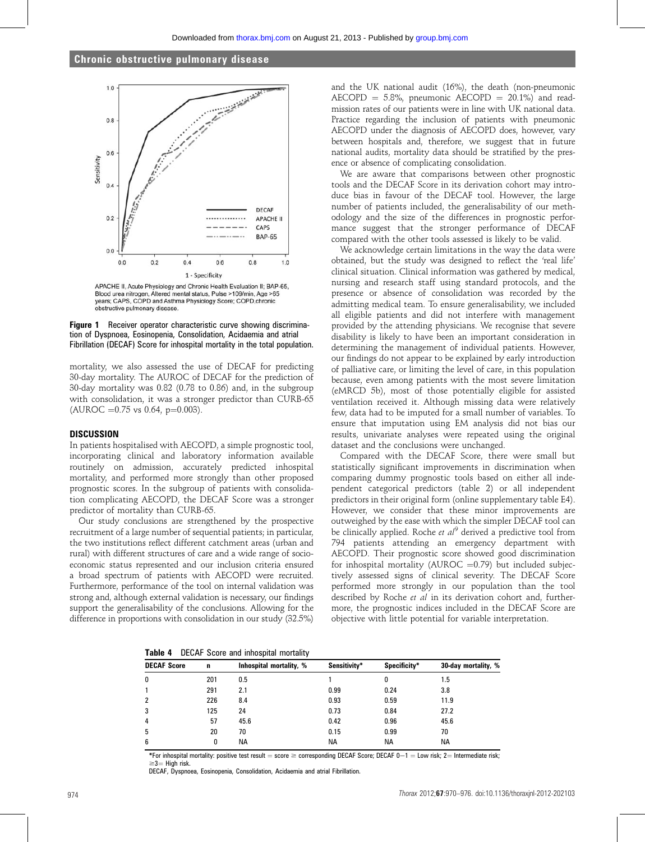

APACHE II, Acute Physiology and Chronic Health Evaluation II; BAP-65, Blood urea nitrogen. Altered mental status. Pulse >109/min. Age >65 years; CAPS, COPD and Asthma Physiology Score; COPD, chronic obstructive pulmonary disease.

#### **Figure 1** Receiver operator characteristic curve showing discrimination of Dyspnoea, Eosinopenia, Consolidation, Acidaemia and atrial Fibrillation (DECAF) Score for inhospital mortality in the total population.

mortality, we also assessed the use of DECAF for predicting 30-day mortality. The AUROC of DECAF for the prediction of 30-day mortality was 0.82 (0.78 to 0.86) and, in the subgroup with consolidation, it was a stronger predictor than CURB-65  $(AUROC = 0.75 \text{ vs } 0.64, \text{ p} = 0.003).$ 

#### **DISCUSSION**

In patients hospitalised with AECOPD, a simple prognostic tool, incorporating clinical and laboratory information available routinely on admission, accurately predicted inhospital mortality, and performed more strongly than other proposed prognostic scores. In the subgroup of patients with consolidation complicating AECOPD, the DECAF Score was a stronger predictor of mortality than CURB-65.

Our study conclusions are strengthened by the prospective recruitment of a large number of sequential patients; in particular, the two institutions reflect different catchment areas (urban and rural) with different structures of care and a wide range of socioeconomic status represented and our inclusion criteria ensured a broad spectrum of patients with AECOPD were recruited. Furthermore, performance of the tool on internal validation was strong and, although external validation is necessary, our findings support the generalisability of the conclusions. Allowing for the difference in proportions with consolidation in our study (32.5%)

and the UK national audit (16%), the death (non-pneumonic  $AECOPD = 5.8\%$ , pneumonic  $AECOPD = 20.1\%$  and readmission rates of our patients were in line with UK national data. Practice regarding the inclusion of patients with pneumonic AECOPD under the diagnosis of AECOPD does, however, vary between hospitals and, therefore, we suggest that in future national audits, mortality data should be stratified by the presence or absence of complicating consolidation.

We are aware that comparisons between other prognostic tools and the DECAF Score in its derivation cohort may introduce bias in favour of the DECAF tool. However, the large number of patients included, the generalisability of our methodology and the size of the differences in prognostic performance suggest that the stronger performance of DECAF compared with the other tools assessed is likely to be valid.

We acknowledge certain limitations in the way the data were obtained, but the study was designed to reflect the 'real life' clinical situation. Clinical information was gathered by medical, nursing and research staff using standard protocols, and the presence or absence of consolidation was recorded by the admitting medical team. To ensure generalisability, we included all eligible patients and did not interfere with management provided by the attending physicians. We recognise that severe disability is likely to have been an important consideration in determining the management of individual patients. However, our findings do not appear to be explained by early introduction of palliative care, or limiting the level of care, in this population because, even among patients with the most severe limitation (eMRCD 5b), most of those potentially eligible for assisted ventilation received it. Although missing data were relatively few, data had to be imputed for a small number of variables. To ensure that imputation using EM analysis did not bias our results, univariate analyses were repeated using the original dataset and the conclusions were unchanged.

Compared with the DECAF Score, there were small but statistically significant improvements in discrimination when comparing dummy prognostic tools based on either all independent categorical predictors (table 2) or all independent predictors in their original form (online supplementary table E4). However, we consider that these minor improvements are outweighed by the ease with which the simpler DECAF tool can be clinically applied. Roche *et al*<sup>9</sup> derived a predictive tool from 794 patients attending an emergency department with AECOPD. Their prognostic score showed good discrimination for inhospital mortality (AUROC  $=0.79$ ) but included subjectively assessed signs of clinical severity. The DECAF Score performed more strongly in our population than the tool described by Roche et al in its derivation cohort and, furthermore, the prognostic indices included in the DECAF Score are objective with little potential for variable interpretation.

Table 4 DECAF Score and inhospital mortality

| <b>DECAF Score</b> | n   | Inhospital mortality, % | Sensitivity* | Specificity* | 30-day mortality, % |
|--------------------|-----|-------------------------|--------------|--------------|---------------------|
| 0                  | 201 | 0.5                     |              | 0            | 1.5                 |
|                    | 291 | 2.1                     | 0.99         | 0.24         | 3.8                 |
| $\overline{2}$     | 226 | 8.4                     | 0.93         | 0.59         | 11.9                |
| 3                  | 125 | 24                      | 0.73         | 0.84         | 27.2                |
| 4                  | 57  | 45.6                    | 0.42         | 0.96         | 45.6                |
| 5                  | 20  | 70                      | 0.15         | 0.99         | 70                  |
| 6                  | 0   | <b>NA</b>               | NА           | <b>NA</b>    | NA                  |

\*For inhospital mortality: positive test result = score  $\geq$  corresponding DECAF Score; DECAF 0-1 = Low risk; 2= Intermediate risk;  $\geq$ 3 $=$  High risk.

DECAF, Dyspnoea, Eosinopenia, Consolidation, Acidaemia and atrial Fibrillation.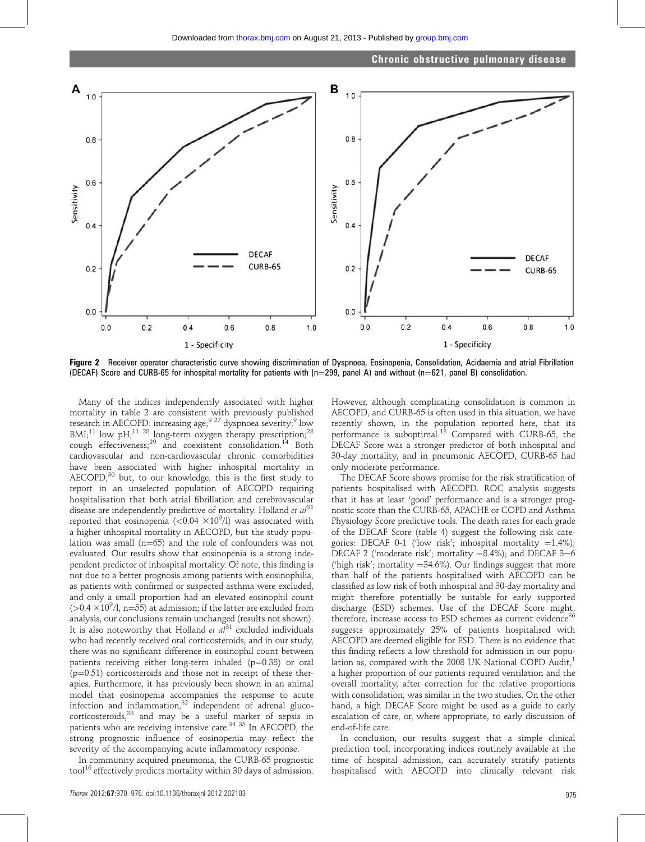



Figure 2 Receiver operator characteristic curve showing discrimination of Dyspnoea, Eosinopenia, Consolidation, Acidaemia and atrial Fibrillation (DECAF) Score and CURB-65 for inhospital mortality for patients with (n=299, panel A) and without (n=621, panel B) consolidation.

Many of the indices independently associated with higher mortality in table 2 are consistent with previously published research in AECOPD: increasing age;<sup>9 27</sup> dyspnoea severity;<sup>9</sup> low  $BMI;^{11}$  low pH;<sup>11 28</sup> long-term oxygen therapy prescription;<sup>28</sup> cough effectiveness;<sup>29</sup> and coexistent consolidation.<sup>14</sup> Both cardiovascular and non-cardiovascular chronic comorbidities have been associated with higher inhospital mortality in AECOPD,<sup>30</sup> but, to our knowledge, this is the first study to report in an unselected population of AECOPD requiring hospitalisation that both atrial fibrillation and cerebrovascular disease are independently predictive of mortality. Holland et  $al^{31}$ reported that eosinopenia (<0.04  $\times 10^9$ /l) was associated with a higher inhospital mortality in AECOPD, but the study population was small ( $n=65$ ) and the role of confounders was not evaluated. Our results show that eosinopenia is a strong independent predictor of inhospital mortality. Of note, this finding is not due to a better prognosis among patients with eosinophilia, as patients with confirmed or suspected asthma were excluded, and only a small proportion had an elevated eosinophil count  $(>0.4 \times 10^9)$ , n=55) at admission; if the latter are excluded from analysis, our conclusions remain unchanged (results not shown). It is also noteworthy that Holland et  $d^{31}$  excluded individuals who had recently received oral corticosteroids, and in our study, there was no significant difference in eosinophil count between patients receiving either long-term inhaled  $(p=0.38)$  or oral  $(p=0.51)$  corticosteroids and those not in receipt of these therapies. Furthermore, it has previously been shown in an animal model that eosinopenia accompanies the response to acute infection and inflammation, $32$  independent of adrenal glucocorticosteroids,<sup>33</sup> and may be a useful marker of sepsis in patients who are receiving intensive care.<sup>34 35</sup> In AECOPD, the strong prognostic influence of eosinopenia may reflect the severity of the accompanying acute inflammatory response.

In community acquired pneumonia, the CURB-65 prognostic tool<sup>16</sup> effectively predicts mortality within 30 days of admission.

Thorax 2012;67:970–976. doi:10.1136/thoraxjnl-2012-202103 975

However, although complicating consolidation is common in AECOPD, and CURB-65 is often used in this situation, we have recently shown, in the population reported here, that its performance is suboptimal.<sup>18</sup> Compared with CURB-65, the DECAF Score was a stronger predictor of both inhospital and 30-day mortality, and in pneumonic AECOPD, CURB-65 had only moderate performance.

The DECAF Score shows promise for the risk stratification of patients hospitalised with AECOPD. ROC analysis suggests that it has at least 'good' performance and is a stronger prognostic score than the CURB-65, APACHE or COPD and Asthma Physiology Score predictive tools. The death rates for each grade of the DECAF Score (table 4) suggest the following risk categories: DECAF 0-1 ('low risk'; inhospital mortality  $=1.4\%$ ); DECAF 2 ('moderate risk'; mortality  $=8.4\%$ ); and DECAF 3-6 ('high risk'; mortality  $=34.6\%$ ). Our findings suggest that more than half of the patients hospitalised with AECOPD can be classified as low risk of both inhospital and 30-day mortality and might therefore potentially be suitable for early supported discharge (ESD) schemes. Use of the DECAF Score might, therefore, increase access to ESD schemes as current evidence<sup>36</sup> suggests approximately 25% of patients hospitalised with AECOPD are deemed eligible for ESD. There is no evidence that this finding reflects a low threshold for admission in our population as, compared with the 2008 UK National COPD Audit,<sup>1</sup> a higher proportion of our patients required ventilation and the overall mortality, after correction for the relative proportions with consolidation, was similar in the two studies. On the other hand, a high DECAF Score might be used as a guide to early escalation of care, or, where appropriate, to early discussion of end-of-life care.

In conclusion, our results suggest that a simple clinical prediction tool, incorporating indices routinely available at the time of hospital admission, can accurately stratify patients hospitalised with AECOPD into clinically relevant risk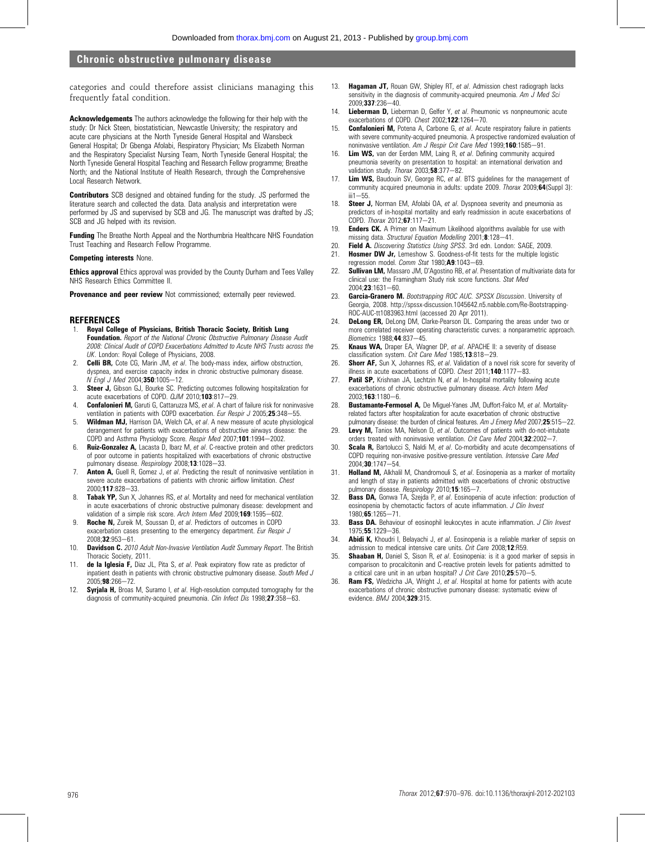categories and could therefore assist clinicians managing this frequently fatal condition.

Acknowledgements The authors acknowledge the following for their help with the study: Dr Nick Steen, biostatistician, Newcastle University; the respiratory and acute care physicians at the North Tyneside General Hospital and Wansbeck General Hospital; Dr Gbenga Afolabi, Respiratory Physician; Ms Elizabeth Norman and the Respiratory Specialist Nursing Team, North Tyneside General Hospital; the North Tyneside General Hospital Teaching and Research Fellow programme; Breathe North; and the National Institute of Health Research, through the Comprehensive Local Research Network.

Contributors SCB designed and obtained funding for the study. JS performed the literature search and collected the data. Data analysis and interpretation were performed by JS and supervised by SCB and JG. The manuscript was drafted by JS; SCB and JG helped with its revision.

**Funding** The Breathe North Appeal and the Northumbria Healthcare NHS Foundation Trust Teaching and Research Fellow Programme.

#### Competing interests None.

**Ethics approval** Ethics approval was provided by the County Durham and Tees Valley NHS Research Ethics Committee II.

Provenance and peer review Not commissioned; externally peer reviewed.

# REFERENCES

- 1. Royal College of Physicians, British Thoracic Society, British Lung Foundation. Report of the National Chronic Obstructive Pulmonary Disease Audit 2008: Clinical Audit of COPD Exacerbations Admitted to Acute NHS Trusts across the UK. London: Royal College of Physicians, 2008.
- 2. **Celli BR,** Cote CG, Marin JM, et al. The body-mass index, airflow obstruction, dyspnea, and exercise capacity index in chronic obstructive pulmonary disease. N Engl J Med 2004;350:1005-12.
- 3. **Steer J,** Gibson GJ, Bourke SC. Predicting outcomes following hospitalization for acute exacerbations of COPD. QJM 2010;103:817-29.
- 4. **Confalonieri M, Garuti G, Cattaruzza MS, et al. A chart of failure risk for noninvasive** ventilation in patients with COPD exacerbation. Eur Respir J 2005;25:348-55.
- 5. **Wildman MJ,** Harrison DA, Welch CA, et al. A new measure of acute physiological derangement for patients with exacerbations of obstructive airways disease: the COPD and Asthma Physiology Score. Respir Med 2007;101:1994-2002.
- 6. **Ruiz-Gonzalez A,** Lacasta D, Ibarz M, et al. C-reactive protein and other predictors of poor outcome in patients hospitalized with exacerbations of chronic obstructive pulmonary disease. Respirology 2008;13:1028-33.
- 7. **Anton A,** Guell R, Gomez J, et al. Predicting the result of noninvasive ventilation in severe acute exacerbations of patients with chronic airflow limitation. Chest 2000;117:828-33.
- 8. Tabak YP, Sun X, Johannes RS, et al. Mortality and need for mechanical ventilation in acute exacerbations of chronic obstructive pulmonary disease: development and validation of a simple risk score. Arch Intern Med 2009;169:1595-602.
- 9. **Roche N,** Zureik M, Soussan D, et al. Predictors of outcomes in COPD exacerbation cases presenting to the emergency department. Eur Respir J 2008:32:953-61.
- 10. Davidson C. 2010 Adult Non-Invasive Ventilation Audit Summary Report. The British Thoracic Society, 2011.
- 11. de la Iglesia F, Diaz JL, Pita S, et al. Peak expiratory flow rate as predictor of inpatient death in patients with chronic obstructive pulmonary disease. South Med J 2005:98:266-72.
- 12. **Syriala H,** Broas M, Suramo I, et al. High-resolution computed tomography for the diagnosis of community-acquired pneumonia. Clin Infect Dis 1998;27:358-63.
- 13. **Hagaman JT**, Bouan GW, Shipley RT, et al. Admission chest radiograph lacks sensitivity in the diagnosis of community-acquired pneumonia. Am J Med Sci 2009;337:236-40.
- 14. Lieberman D, Lieberman D, Gelfer Y, et al. Pneumonic vs nonpneumonic acute exacerbations of COPD. Chest  $2002:122:1264-70$ .
- 15. **Confalonieri M.** Potena A. Carbone G, et al. Acute respiratory failure in patients with severe community-acquired pneumonia. A prospective randomized evaluation of noninvasive ventilation. Am J Respir Crit Care Med 1999;160:1585-91.
- 16. Lim WS, van der Eerden MM, Laing R, et al. Defining community acquired pneumonia severity on presentation to hospital: an international derivation and validation study. Thorax  $2003$ ; 58:377-82.
- 17. Lim WS, Baudouin SV, George RC, et al. BTS guidelines for the management of community acquired pneumonia in adults: update 2009. Thorax 2009;64(Suppl 3):  $iii1 - 55$
- 18. Steer J, Norman EM, Afolabi OA, et al. Dyspnoea severity and pneumonia as predictors of in-hospital mortality and early readmission in acute exacerbations of  $COPD$ . Thorax 2012:67:117-21.
- 19. **Enders CK.** A Primer on Maximum Likelihood algorithms available for use with missing data. Structural Equation Modelling  $2001, 8:128-41$ .
- 20. Field A. Discovering Statistics Using SPSS. 3rd edn. London: SAGE, 2009.
- 21. **Hosmer DW Jr,** Lemeshow S. Goodness-of-fit tests for the multiple logistic regression model. Comm Stat 1980;A9:1043-69.
- 22. Sullivan LM, Massaro JM, D'Agostino RB, et al. Presentation of multivariate data for clinical use: the Framingham Study risk score functions. Stat Med  $2004:23:1631 - 60$
- 23. Garcia-Granero M. Bootstrapping ROC AUC. SPSSX Discussion. University of Georgia, 2008. http://spssx-discussion.1045642.n5.nabble.com/Re-Bootstrapping-ROC-AUC-tt1083963.html (accessed 20 Apr 2011).
- 24. **DeLong ER,** DeLong DM, Clarke-Pearson DL. Comparing the areas under two or more correlated receiver operating characteristic curves: a nonparametric approach.  $R$ iometrics 1988; $44.837 - 45$ .
- 25. Knaus WA, Draper EA, Wagner DP, et al. APACHE II: a severity of disease classification system. Crit Care Med 1985;13:818-29.
- 26. Shorr AF, Sun X, Johannes RS, et al. Validation of a novel risk score for severity of illness in acute exacerbations of COPD. Chest  $2011; 140:1177-83$ .
- 27. Patil SP, Krishnan JA, Lechtzin N, et al. In-hospital mortality following acute exacerbations of chronic obstructive pulmonary disease. Arch Intern Med  $2003:163:1180-6.$
- 28. Bustamante-Fermosel A, De Miguel-Yanes JM, Duffort-Falco M, et al. Mortalityrelated factors after hospitalization for acute exacerbation of chronic obstructive pulmonary disease: the burden of clinical features. Am J Emerg Med 2007;25:515-22.
- 29. Levy M, Tanios MA, Nelson D, et al. Outcomes of patients with do-not-intubate orders treated with noninvasive ventilation. Crit Care Med 2004;32:2002-7.
- Scala R, Bartolucci S, Naldi M, et al. Co-morbidity and acute decompensations of COPD requiring non-invasive positive-pressure ventilation. Intensive Care Med 2004;30:1747-54
- 31. Holland M, Alkhalil M, Chandromouli S, et al. Eosinopenia as a marker of mortality and length of stay in patients admitted with exacerbations of chronic obstructive pulmonary disease. Respirology 2010;15:165-7.
- 32. **Bass DA,** Gonwa TA, Szejda P, et al. Eosinopenia of acute infection: production of eosinopenia by chemotactic factors of acute inflammation. J Clin Invest 1980:65:1265-71.
- 33. Bass DA. Behaviour of eosinophil leukocytes in acute inflammation. J Clin Invest 1975;55:1229-36.
- 34. **Abidi K,** Khoudri I, Belayachi J, et al. Eosinopenia is a reliable marker of sepsis on admission to medical intensive care units. Crit Care 2008;12:R59.
- 35. Shaaban H, Daniel S, Sison R, et al. Eosinopenia: is it a good marker of sepsis in comparison to procalcitonin and C-reactive protein levels for patients admitted to a critical care unit in an urban hospital? J Crit Care  $2010;25:570-5$ .
- 36. Ram FS, Wedzicha JA, Wright J, et al. Hospital at home for patients with acute exacerbations of chronic obstructive pumonary disease: systematic eview of evidence. **BMJ** 2004;329:315.